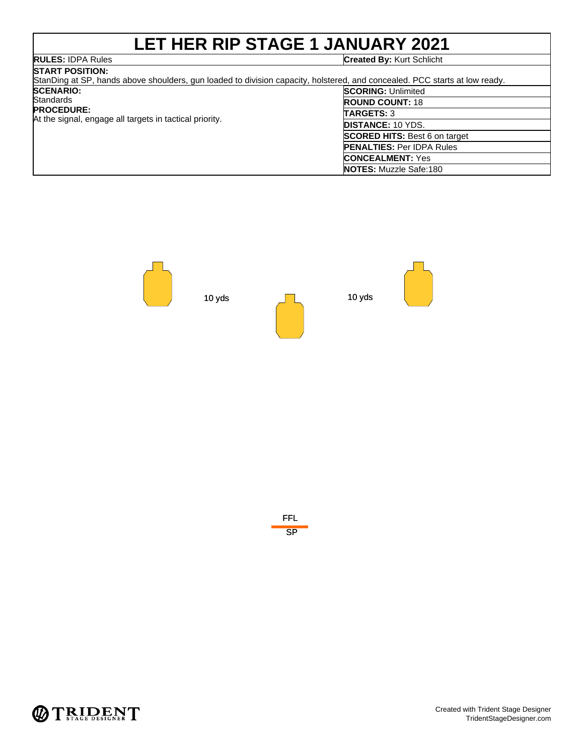### **LET HER RIP STAGE 1 JANUARY 2021 RULES:** IDPA Rules **Created By:** Kurt Schlicht

| <b>START POSITION:</b><br>StanDing at SP, hands above shoulders, gun loaded to division capacity, holstered, and concealed. PCC starts at low ready. |                                      |
|------------------------------------------------------------------------------------------------------------------------------------------------------|--------------------------------------|
| <b>SCENARIO:</b>                                                                                                                                     | <b>SCORING: Unlimited</b>            |
| Standards<br><b>PROCEDURE:</b><br>At the signal, engage all targets in tactical priority.                                                            | <b>ROUND COUNT: 18</b>               |
|                                                                                                                                                      | <b>TARGETS: 3</b>                    |
|                                                                                                                                                      | <b>DISTANCE: 10 YDS.</b>             |
|                                                                                                                                                      | <b>SCORED HITS:</b> Best 6 on target |
|                                                                                                                                                      | <b>PENALTIES: Per IDPA Rules</b>     |
|                                                                                                                                                      | <b>CONCEALMENT:</b> Yes              |
|                                                                                                                                                      | <b>NOTES:</b> Muzzle Safe:180        |





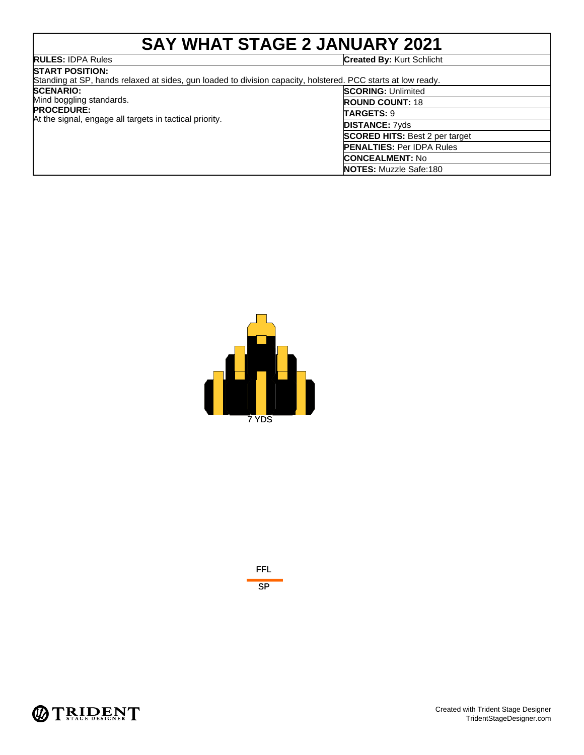## **SAY WHAT STAGE 2 JANUARY 2021**

| <b>RULES: IDPA Rules</b>                                                                                     | <b>Created By: Kurt Schlicht</b>      |
|--------------------------------------------------------------------------------------------------------------|---------------------------------------|
| <b>START POSITION:</b>                                                                                       |                                       |
| Standing at SP, hands relaxed at sides, gun loaded to division capacity, holstered. PCC starts at low ready. |                                       |
| <b>SCENARIO:</b>                                                                                             | <b>SCORING: Unlimited</b>             |
| Mind boggling standards.                                                                                     | <b>ROUND COUNT: 18</b>                |
| <b>PROCEDURE:</b><br>At the signal, engage all targets in tactical priority.                                 | <b>TARGETS: 9</b>                     |
|                                                                                                              | <b>DISTANCE: 7yds</b>                 |
|                                                                                                              | <b>SCORED HITS: Best 2 per target</b> |
|                                                                                                              | <b>PENALTIES: Per IDPA Rules</b>      |
|                                                                                                              | <b>CONCEALMENT: No</b>                |
|                                                                                                              | <b>NOTES: Muzzle Safe:180</b>         |





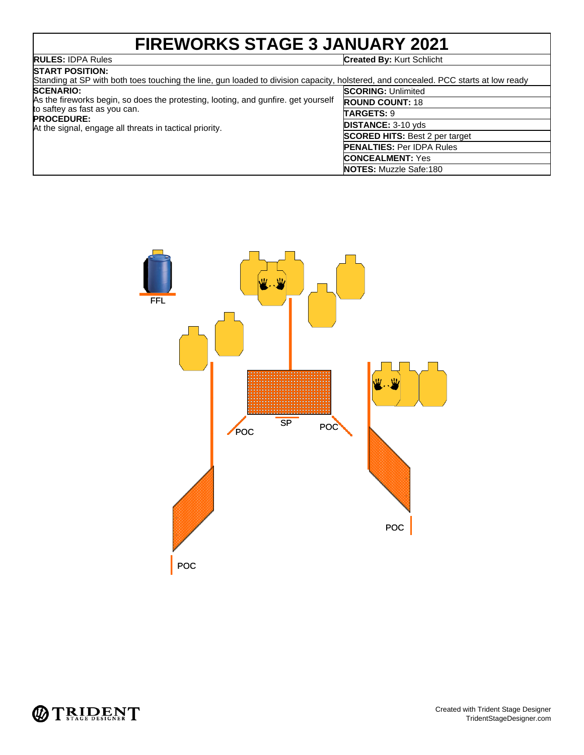## **FIREWORKS STAGE 3 JANUARY 2021**

## **RULES: IDPA Rules**<br>START POSITION:

#### **Created By: Kurt Schlicht**

| BIARI PUSHUN.<br>Standing at SP with both toes touching the line, gun loaded to division capacity, holstered, and concealed. PCC starts at low ready                                                                    |                                       |
|-------------------------------------------------------------------------------------------------------------------------------------------------------------------------------------------------------------------------|---------------------------------------|
| <b>SCENARIO:</b><br>As the fireworks begin, so does the protesting, looting, and gunfire, get yourself<br>to saftey as fast as you can.<br><b>PROCEDURE:</b><br>At the signal, engage all threats in tactical priority. | <b>SCORING: Unlimited</b>             |
|                                                                                                                                                                                                                         | <b>ROUND COUNT: 18</b>                |
|                                                                                                                                                                                                                         | <b>TARGETS: 9</b>                     |
|                                                                                                                                                                                                                         | <b>DISTANCE: 3-10 yds</b>             |
|                                                                                                                                                                                                                         | <b>SCORED HITS: Best 2 per target</b> |
|                                                                                                                                                                                                                         | <b>PENALTIES: Per IDPA Rules</b>      |
|                                                                                                                                                                                                                         | <b>CONCEALMENT: Yes</b>               |
|                                                                                                                                                                                                                         | <b>NOTES:</b> Muzzle Safe:180         |



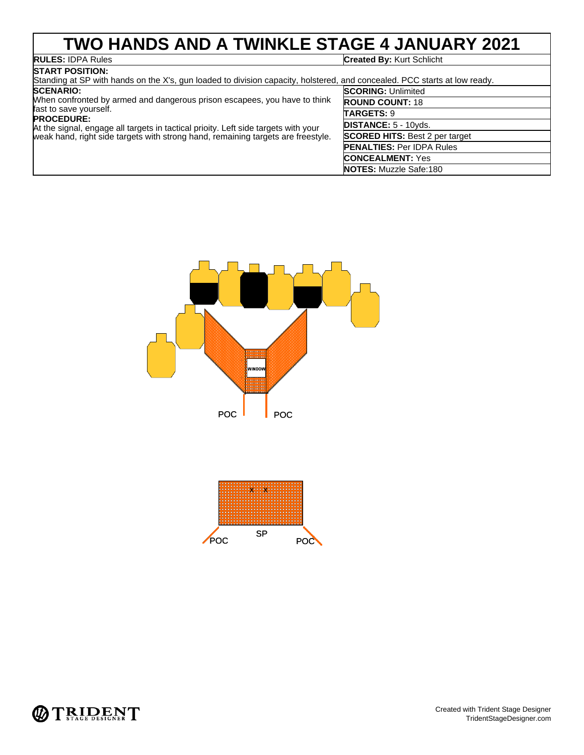## **TWO HANDS AND A TWINKLE STAGE 4 JANUARY 2021**

# **RULES: IDPA Rules**<br>**START POSITION:**

#### **Created By: Kurt Schlicht**

| BIANI FOSHION.<br>Standing at SP with hands on the X's, gun loaded to division capacity, holstered, and concealed. PCC starts at low ready.                                                                                                                                                        |                                       |  |
|----------------------------------------------------------------------------------------------------------------------------------------------------------------------------------------------------------------------------------------------------------------------------------------------------|---------------------------------------|--|
| <b>SCENARIO:</b>                                                                                                                                                                                                                                                                                   | <b>SCORING: Unlimited</b>             |  |
| When confronted by armed and dangerous prison escapees, you have to think<br>fast to save yourself.<br><b>PROCEDURE:</b><br>At the signal, engage all targets in tactical prioity. Left side targets with your<br>weak hand, right side targets with strong hand, remaining targets are freestyle. | <b>ROUND COUNT: 18</b>                |  |
|                                                                                                                                                                                                                                                                                                    | TARGETS: 9                            |  |
|                                                                                                                                                                                                                                                                                                    | <b>DISTANCE: 5 - 10yds.</b>           |  |
|                                                                                                                                                                                                                                                                                                    | <b>SCORED HITS: Best 2 per target</b> |  |
|                                                                                                                                                                                                                                                                                                    | <b>PENALTIES: Per IDPA Rules</b>      |  |
|                                                                                                                                                                                                                                                                                                    | <b>CONCEALMENT: Yes</b>               |  |
|                                                                                                                                                                                                                                                                                                    | <b>NOTES:</b> Muzzle Safe:180         |  |





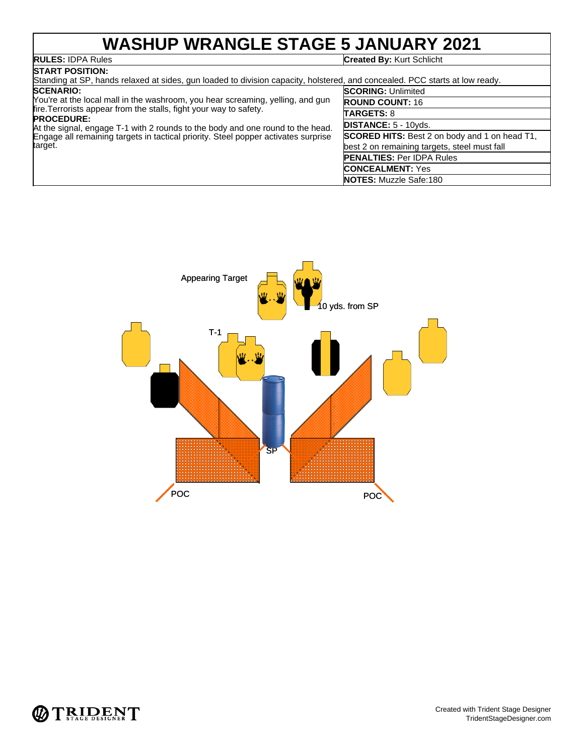### **WASHUP WRANGLE STAGE 5 JANUARY 2021 Created By: Kurt Schlicht**

# RULES: IDPA Rules

| <b>ISTART POSITION:</b>                                                                                                                                                   |                                                      |
|---------------------------------------------------------------------------------------------------------------------------------------------------------------------------|------------------------------------------------------|
| Standing at SP, hands relaxed at sides, gun loaded to division capacity, holstered, and concealed. PCC starts at low ready.                                               |                                                      |
| <b>SCENARIO:</b>                                                                                                                                                          | <b>SCORING: Unlimited</b>                            |
| You're at the local mall in the washroom, you hear screaming, yelling, and gun                                                                                            | <b>ROUND COUNT: 16</b>                               |
| fire. Terrorists appear from the stalls, fight your way to safety.<br><b>PROCEDURE:</b><br>At the signal, engage T-1 with 2 rounds to the body and one round to the head. | <b>TARGETS: 8</b>                                    |
|                                                                                                                                                                           | <b>DISTANCE: 5 - 10vds.</b>                          |
| Engage all remaining targets in tactical priority. Steel popper activates surprise                                                                                        | <b>SCORED HITS:</b> Best 2 on body and 1 on head T1, |
| target.                                                                                                                                                                   | best 2 on remaining targets, steel must fall         |
|                                                                                                                                                                           | <b>PENALTIES: Per IDPA Rules</b>                     |
|                                                                                                                                                                           | <b>CONCEALMENT:</b> Yes                              |
|                                                                                                                                                                           | <b>NOTES:</b> Muzzle Safe:180                        |



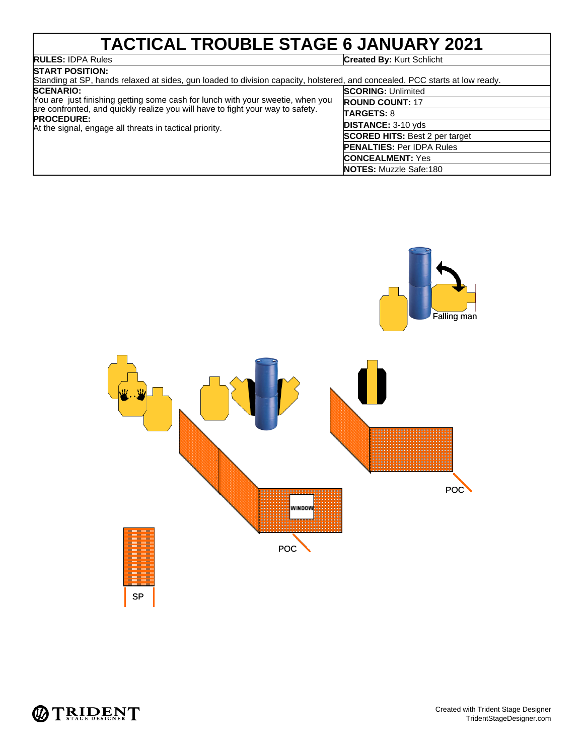### **TACTICAL TROUBLE STAGE 6 JANUARY 2021**<br>RULES: IDPA Rules **Created By: Kurt Schlicht**

| <b>START POSITION:</b>                                                                                                      |                           |
|-----------------------------------------------------------------------------------------------------------------------------|---------------------------|
| Standing at SP, hands relaxed at sides, gun loaded to division capacity, holstered, and concealed. PCC starts at low ready. |                           |
| <b>SCENARIO:</b>                                                                                                            | <b>SCORING: Unlimited</b> |
| You are just finishing getting some cash for lunch with your sweetie, when you                                              | <b>ROUND COUNT: 17</b>    |
| are confronted, and quickly realize you will have to fight your way to safety.                                              | <b>TARGETS: 8</b>         |
| <b>PROCEDURE:</b>                                                                                                           |                           |

At the signal, engage all threats in tactical priority.

| en you | <b>ROUND COUNT: 17</b>                |
|--------|---------------------------------------|
| etv.   | <b>TARGETS: 8</b>                     |
|        | <b>DISTANCE: 3-10 yds</b>             |
|        | <b>SCORED HITS: Best 2 per target</b> |
|        | <b>PENALTIES: Per IDPA Rules</b>      |
|        | <b>CONCEALMENT: Yes</b>               |
|        | <b>NOTES: Muzzle Safe:180</b>         |
|        |                                       |



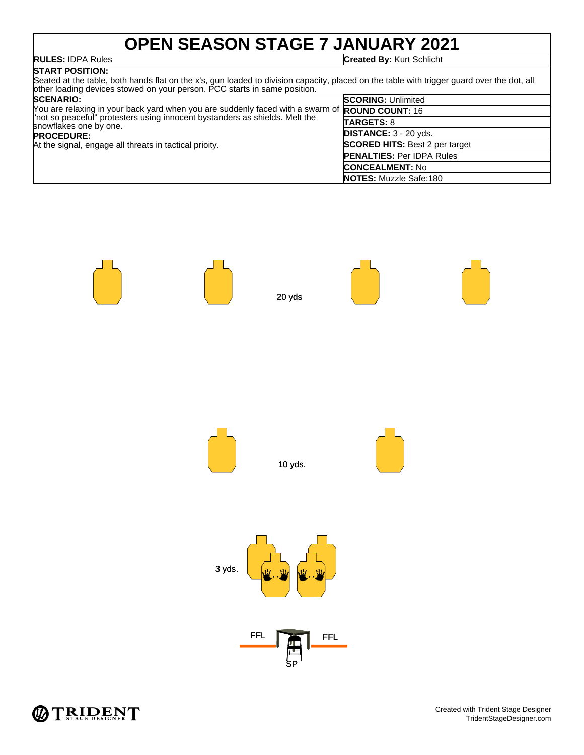## **OPEN SEASON STAGE 7 JANUARY 2021**

**RULES:** IDPA Rules **Created By:** Kurt Schlicht

#### **START POSITION:** Seated at the table, both hands flat on the x's, gun loaded to division capacity, placed on the table with trigger guard over the dot, all other loading devices stowed on your person. PCC starts in same position.

| <b>SCENARIO:</b>                                                                                      | <b>SCORING: Unlimited</b>             |
|-------------------------------------------------------------------------------------------------------|---------------------------------------|
| You are relaxing in your back yard when you are suddenly faced with a swarm of <b>ROUND COUNT:</b> 16 |                                       |
| "not so peaceful" protesters using innocent bystanders as shields. Melt the<br>snowflakes one by one. | <b>TARGETS: 8</b>                     |
| <b>PROCEDURE:</b>                                                                                     | <b>DISTANCE: 3 - 20 yds.</b>          |
| At the signal, engage all threats in tactical prioity.                                                | <b>SCORED HITS: Best 2 per target</b> |
|                                                                                                       | <b>PENALTIES: Per IDPA Rules</b>      |
|                                                                                                       | <b>CONCEALMENT: No</b>                |
|                                                                                                       | <b>NOTES:</b> Muzzle Safe:180         |